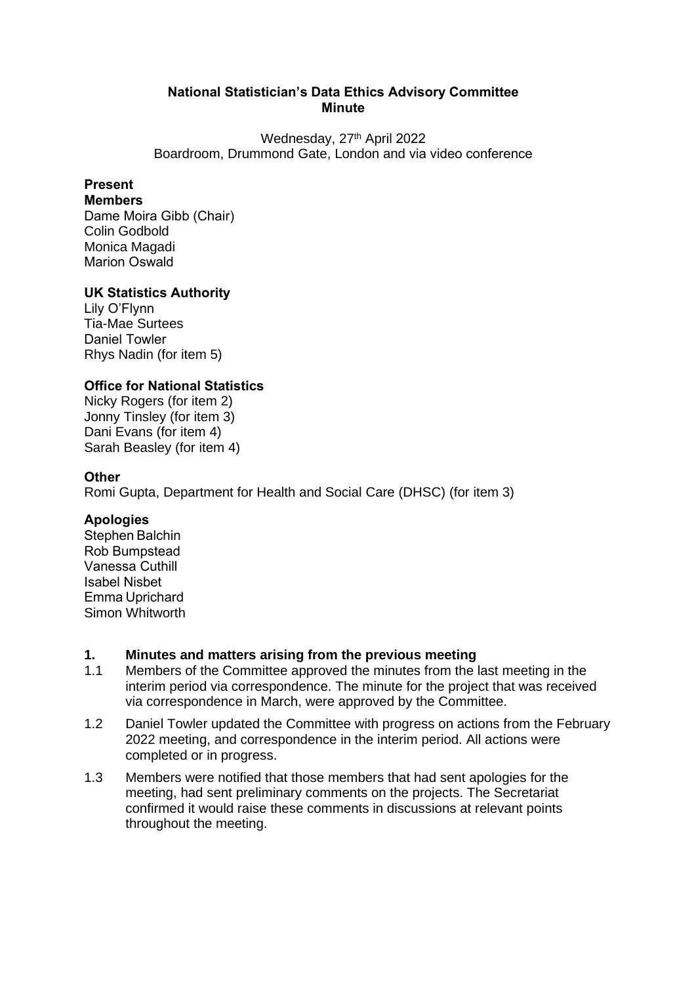#### **National Statistician's Data Ethics Advisory Committee  Minute**

Wednesday, 27<sup>th</sup> April 2022 Boardroom, Drummond Gate, London and via video conference  

### **Present**

#### **Members**

Dame Moira Gibb (Chair)    Colin Godbold Monica Magadi Marion Oswald   

#### **UK Statistics Authority**

Lily O'Flynn  Tia-Mae Surtees Daniel Towler  Rhys Nadin (for item 5)

#### **Office for National Statistics**

Nicky Rogers (for item 2) Jonny Tinsley (for item 3) Dani Evans (for item 4) Sarah Beasley (for item 4)

#### **Other**

Romi Gupta, Department for Health and Social Care (DHSC) (for item 3)

#### **Apologies**

Stephen Balchin    Rob Bumpstead   Vanessa Cuthill    Isabel Nisbet    Emma Uprichard  Simon Whitworth

# **1. Minutes and matters arising from the previous meeting**

- Members of the Committee approved the minutes from the last meeting in the interim period via correspondence. The minute for the project that was received via correspondence in March, were approved by the Committee.
- 1.2 Daniel Towler updated the Committee with progress on actions from the February 2022 meeting, and correspondence in the interim period. All actions were completed or in progress.
- 1.3 Members were notified that those members that had sent apologies for the meeting, had sent preliminary comments on the projects. The Secretariat confirmed it would raise these comments in discussions at relevant points throughout the meeting.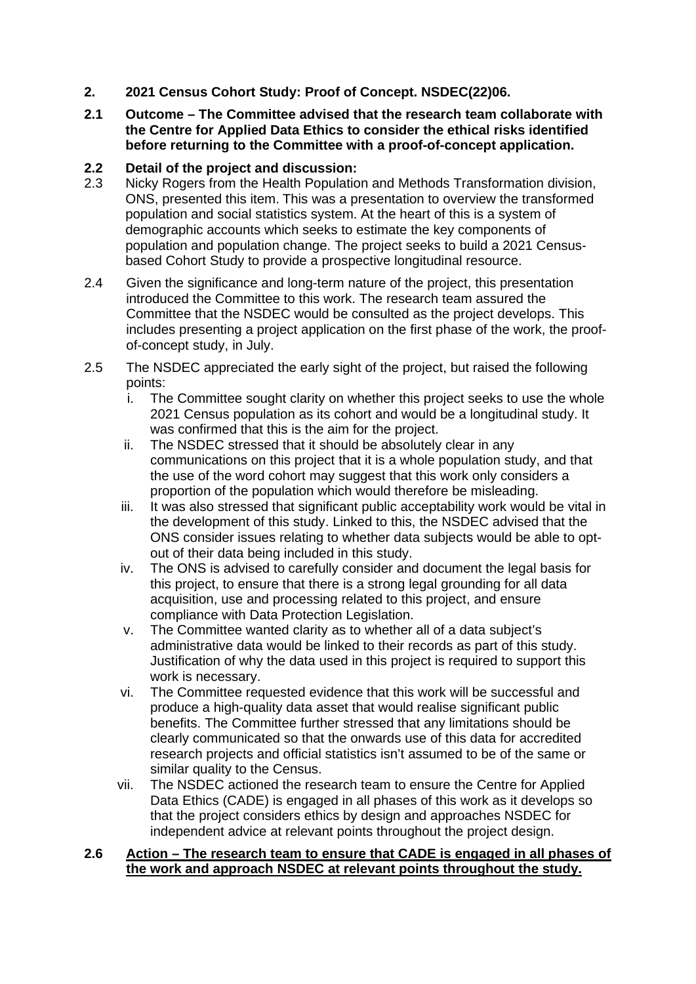- **2. 2021 Census Cohort Study: Proof of Concept. NSDEC(22)06.**
- **2.1 Outcome – The Committee advised that the research team collaborate with the Centre for Applied Data Ethics to consider the ethical risks identified before returning to the Committee with a proof-of-concept application.**

# **2.2 Detail of the project and discussion:**

- Nicky Rogers from the Health Population and Methods Transformation division, ONS, presented this item. This was a presentation to overview the transformed population and social statistics system. At the heart of this is a system of demographic accounts which seeks to estimate the key components of population and population change. The project seeks to build a 2021 Censusbased Cohort Study to provide a prospective longitudinal resource.
- 2.4 Given the significance and long-term nature of the project, this presentation introduced the Committee to this work. The research team assured the Committee that the NSDEC would be consulted as the project develops. This includes presenting a project application on the first phase of the work, the proofof-concept study, in July.
- 2.5 The NSDEC appreciated the early sight of the project, but raised the following points:
	- i. The Committee sought clarity on whether this project seeks to use the whole 2021 Census population as its cohort and would be a longitudinal study. It was confirmed that this is the aim for the project.
	- ii. The NSDEC stressed that it should be absolutely clear in any communications on this project that it is a whole population study, and that the use of the word cohort may suggest that this work only considers a proportion of the population which would therefore be misleading.
	- iii. It was also stressed that significant public acceptability work would be vital in the development of this study. Linked to this, the NSDEC advised that the ONS consider issues relating to whether data subjects would be able to optout of their data being included in this study.
	- iv. The ONS is advised to carefully consider and document the legal basis for this project, to ensure that there is a strong legal grounding for all data acquisition, use and processing related to this project, and ensure compliance with Data Protection Legislation.
	- v. The Committee wanted clarity as to whether all of a data subject's administrative data would be linked to their records as part of this study. Justification of why the data used in this project is required to support this work is necessary.
	- vi. The Committee requested evidence that this work will be successful and produce a high-quality data asset that would realise significant public benefits. The Committee further stressed that any limitations should be clearly communicated so that the onwards use of this data for accredited research projects and official statistics isn't assumed to be of the same or similar quality to the Census.
	- vii. The NSDEC actioned the research team to ensure the Centre for Applied Data Ethics (CADE) is engaged in all phases of this work as it develops so that the project considers ethics by design and approaches NSDEC for independent advice at relevant points throughout the project design.

#### **2.6 Action – The research team to ensure that CADE is engaged in all phases of the work and approach NSDEC at relevant points throughout the study.**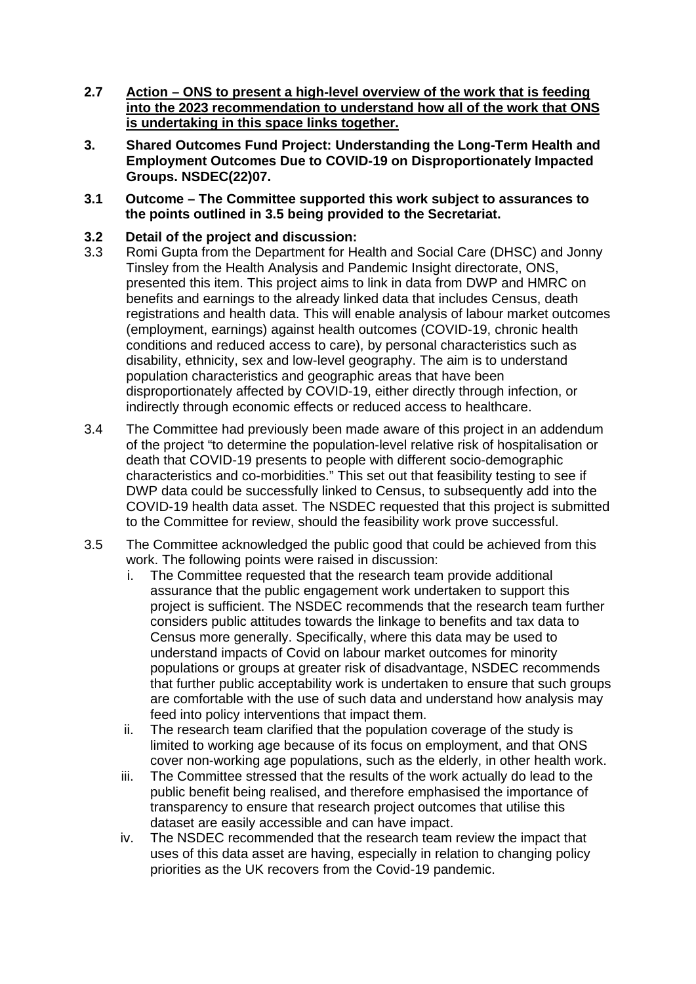- **2.7 Action – ONS to present a high-level overview of the work that is feeding into the 2023 recommendation to understand how all of the work that ONS is undertaking in this space links together.**
- **3. Shared Outcomes Fund Project: Understanding the Long-Term Health and Employment Outcomes Due to COVID-19 on Disproportionately Impacted Groups. NSDEC(22)07.**
- **3.1 Outcome – The Committee supported this work subject to assurances to the points outlined in 3.5 being provided to the Secretariat.**
- **3.2 Detail of the project and discussion:**
- 3.3 Romi Gupta from the Department for Health and Social Care (DHSC) and Jonny Tinsley from the Health Analysis and Pandemic Insight directorate, ONS, presented this item. This project aims to link in data from DWP and HMRC on benefits and earnings to the already linked data that includes Census, death registrations and health data. This will enable analysis of labour market outcomes (employment, earnings) against health outcomes (COVID-19, chronic health conditions and reduced access to care), by personal characteristics such as disability, ethnicity, sex and low-level geography. The aim is to understand population characteristics and geographic areas that have been disproportionately affected by COVID-19, either directly through infection, or indirectly through economic effects or reduced access to healthcare.
- 3.4 The Committee had previously been made aware of this project in an addendum of the project "to determine the population-level relative risk of hospitalisation or death that COVID-19 presents to people with different socio-demographic characteristics and co-morbidities." This set out that feasibility testing to see if DWP data could be successfully linked to Census, to subsequently add into the COVID-19 health data asset. The NSDEC requested that this project is submitted to the Committee for review, should the feasibility work prove successful.
- 3.5 The Committee acknowledged the public good that could be achieved from this work. The following points were raised in discussion:
	- i. The Committee requested that the research team provide additional assurance that the public engagement work undertaken to support this project is sufficient. The NSDEC recommends that the research team further considers public attitudes towards the linkage to benefits and tax data to Census more generally. Specifically, where this data may be used to understand impacts of Covid on labour market outcomes for minority populations or groups at greater risk of disadvantage, NSDEC recommends that further public acceptability work is undertaken to ensure that such groups are comfortable with the use of such data and understand how analysis may feed into policy interventions that impact them.
	- ii. The research team clarified that the population coverage of the study is limited to working age because of its focus on employment, and that ONS cover non-working age populations, such as the elderly, in other health work.
	- iii. The Committee stressed that the results of the work actually do lead to the public benefit being realised, and therefore emphasised the importance of transparency to ensure that research project outcomes that utilise this dataset are easily accessible and can have impact.
	- iv. The NSDEC recommended that the research team review the impact that uses of this data asset are having, especially in relation to changing policy priorities as the UK recovers from the Covid-19 pandemic.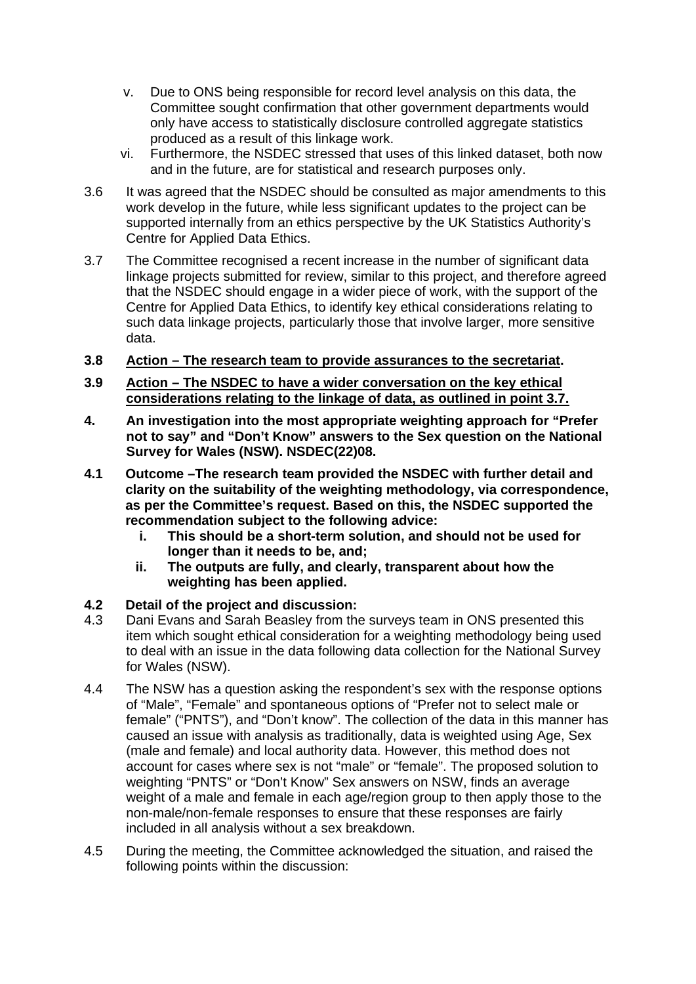- v. Due to ONS being responsible for record level analysis on this data, the Committee sought confirmation that other government departments would only have access to statistically disclosure controlled aggregate statistics produced as a result of this linkage work.
- vi. Furthermore, the NSDEC stressed that uses of this linked dataset, both now and in the future, are for statistical and research purposes only.
- 3.6 It was agreed that the NSDEC should be consulted as major amendments to this work develop in the future, while less significant updates to the project can be supported internally from an ethics perspective by the UK Statistics Authority's Centre for Applied Data Ethics.
- 3.7 The Committee recognised a recent increase in the number of significant data linkage projects submitted for review, similar to this project, and therefore agreed that the NSDEC should engage in a wider piece of work, with the support of the Centre for Applied Data Ethics, to identify key ethical considerations relating to such data linkage projects, particularly those that involve larger, more sensitive data.
- **3.8 Action – The research team to provide assurances to the secretariat.**
- **3.9 Action – The NSDEC to have a wider conversation on the key ethical considerations relating to the linkage of data, as outlined in point 3.7.**
- **4. An investigation into the most appropriate weighting approach for "Prefer not to say" and "Don't Know" answers to the Sex question on the National Survey for Wales (NSW). NSDEC(22)08.**
- **4.1 Outcome –The research team provided the NSDEC with further detail and clarity on the suitability of the weighting methodology, via correspondence, as per the Committee's request. Based on this, the NSDEC supported the recommendation subject to the following advice:**
	- **i. This should be a short-term solution, and should not be used for longer than it needs to be, and;**
	- **ii. The outputs are fully, and clearly, transparent about how the weighting has been applied.**

#### **4.2 Detail of the project and discussion:**

- 4.3 Dani Evans and Sarah Beasley from the surveys team in ONS presented this item which sought ethical consideration for a weighting methodology being used to deal with an issue in the data following data collection for the National Survey for Wales (NSW).
- 4.4 The NSW has a question asking the respondent's sex with the response options of "Male", "Female" and spontaneous options of "Prefer not to select male or female" ("PNTS"), and "Don't know". The collection of the data in this manner has caused an issue with analysis as traditionally, data is weighted using Age, Sex (male and female) and local authority data. However, this method does not account for cases where sex is not "male" or "female". The proposed solution to weighting "PNTS" or "Don't Know" Sex answers on NSW, finds an average weight of a male and female in each age/region group to then apply those to the non-male/non-female responses to ensure that these responses are fairly included in all analysis without a sex breakdown.
- 4.5 During the meeting, the Committee acknowledged the situation, and raised the following points within the discussion: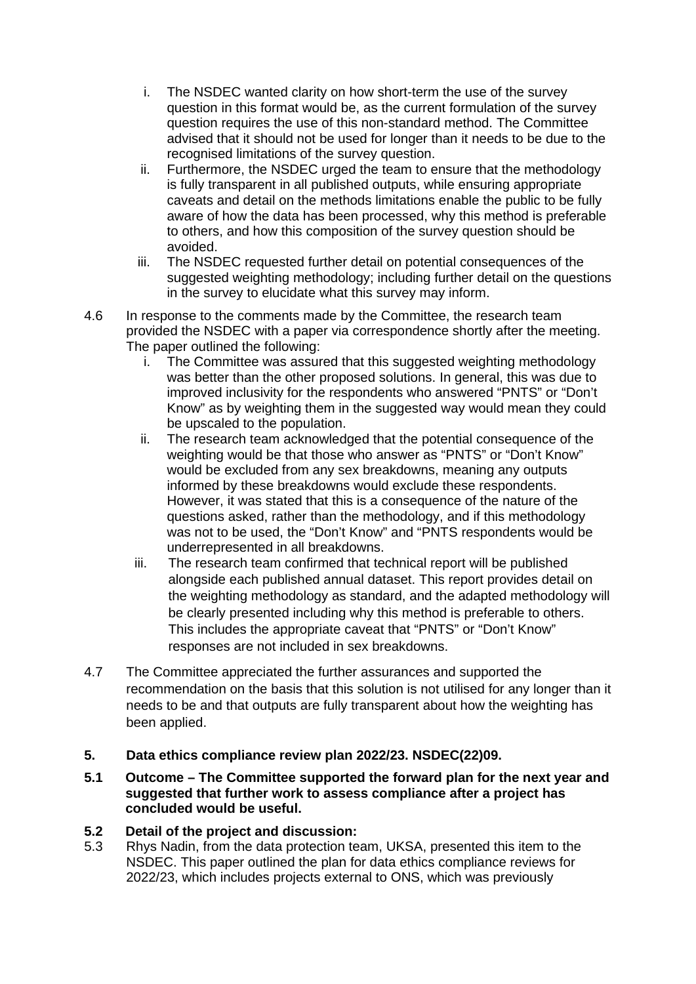- i. The NSDEC wanted clarity on how short-term the use of the survey question in this format would be, as the current formulation of the survey question requires the use of this non-standard method. The Committee advised that it should not be used for longer than it needs to be due to the recognised limitations of the survey question.
- ii. Furthermore, the NSDEC urged the team to ensure that the methodology is fully transparent in all published outputs, while ensuring appropriate caveats and detail on the methods limitations enable the public to be fully aware of how the data has been processed, why this method is preferable to others, and how this composition of the survey question should be avoided.
- iii. The NSDEC requested further detail on potential consequences of the suggested weighting methodology; including further detail on the questions in the survey to elucidate what this survey may inform.
- 4.6 In response to the comments made by the Committee, the research team provided the NSDEC with a paper via correspondence shortly after the meeting. The paper outlined the following:
	- i. The Committee was assured that this suggested weighting methodology was better than the other proposed solutions. In general, this was due to improved inclusivity for the respondents who answered "PNTS" or "Don't Know" as by weighting them in the suggested way would mean they could be upscaled to the population.
	- ii. The research team acknowledged that the potential consequence of the weighting would be that those who answer as "PNTS" or "Don't Know" would be excluded from any sex breakdowns, meaning any outputs informed by these breakdowns would exclude these respondents. However, it was stated that this is a consequence of the nature of the questions asked, rather than the methodology, and if this methodology was not to be used, the "Don't Know" and "PNTS respondents would be underrepresented in all breakdowns.
	- iii. The research team confirmed that technical report will be published alongside each published annual dataset. This report provides detail on the weighting methodology as standard, and the adapted methodology will be clearly presented including why this method is preferable to others. This includes the appropriate caveat that "PNTS" or "Don't Know" responses are not included in sex breakdowns.
- 4.7 The Committee appreciated the further assurances and supported the recommendation on the basis that this solution is not utilised for any longer than it needs to be and that outputs are fully transparent about how the weighting has been applied.
- **5. Data ethics compliance review plan 2022/23. NSDEC(22)09.**
- **5.1 Outcome – The Committee supported the forward plan for the next year and suggested that further work to assess compliance after a project has concluded would be useful.**
- **5.2 Detail of the project and discussion:**
- 5.3 Rhys Nadin, from the data protection team, UKSA, presented this item to the NSDEC. This paper outlined the plan for data ethics compliance reviews for 2022/23, which includes projects external to ONS, which was previously